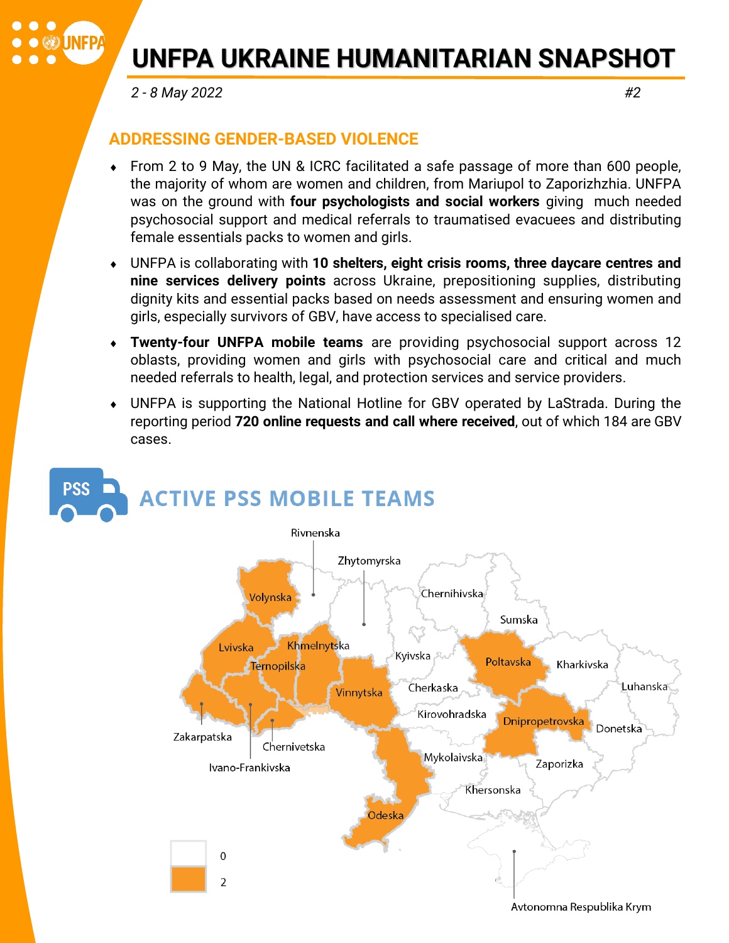### $\bullet\bullet$  $\bullet$  (  $\bullet$  in Fp.

# **UNFPA UKRAINE HUMANITARIAN SNAPSHOT**

 *2 - 8 May 2022 #2* 

#### **ADDRESSING GENDER-BASED VIOLENCE**

- From 2 to 9 May, the UN & ICRC facilitated a safe passage of more than 600 people, the majority of whom are women and children, from Mariupol to Zaporizhzhia. UNFPA was on the ground with **four psychologists and social workers** giving much needed psychosocial support and medical referrals to traumatised evacuees and distributing female essentials packs to women and girls.
- UNFPA is collaborating with **10 shelters, eight crisis rooms, three daycare centres and nine services delivery points** across Ukraine, prepositioning supplies, distributing dignity kits and essential packs based on needs assessment and ensuring women and girls, especially survivors of GBV, have access to specialised care.
- **Twenty-four UNFPA mobile teams** are providing psychosocial support across 12 oblasts, providing women and girls with psychosocial care and critical and much needed referrals to health, legal, and protection services and service providers.
- UNFPA is supporting the National Hotline for GBV operated by LaStrada. During the reporting period **720 online requests and call where received**, out of which 184 are GBV cases.

### **PSS ACTIVE PSS MOBILE TEAMS**

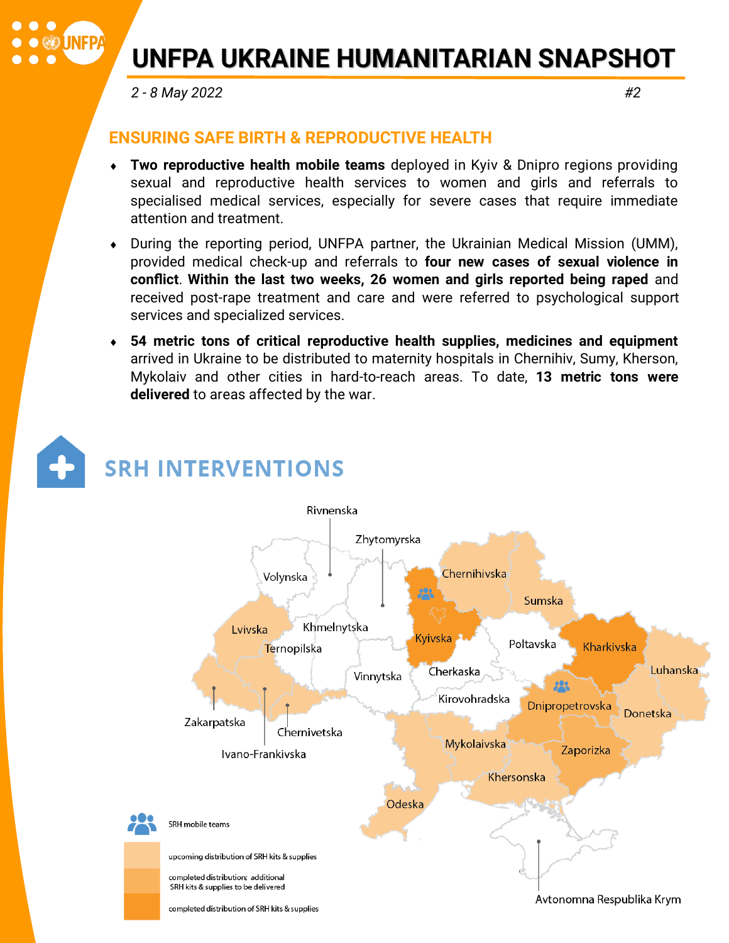# **UNFPA UKRAINE HUMANITARIAN SNAPSHOT**

 *2 - 8 May 2022 #2* 

 $\bullet\bullet$ 

 $\bullet$  (  $\bullet$  in Fp.

#### **ENSURING SAFE BIRTH & REPRODUCTIVE HEALTH**

- **Two reproductive health mobile teams** deployed in Kyiv & Dnipro regions providing sexual and reproductive health services to women and girls and referrals to specialised medical services, especially for severe cases that require immediate attention and treatment.
- During the reporting period, UNFPA partner, the Ukrainian Medical Mission (UMM), provided medical check-up and referrals to **four new cases of sexual violence in conflict**. **Within the last two weeks, 26 women and girls reported being raped** and received post-rape treatment and care and were referred to psychological support services and specialized services.
- **54 metric tons of critical reproductive health supplies, medicines and equipment**  arrived in Ukraine to be distributed to maternity hospitals in Chernihiv, Sumy, Kherson, Mykolaiv and other cities in hard-to-reach areas. To date, **13 metric tons were delivered** to areas affected by the war.